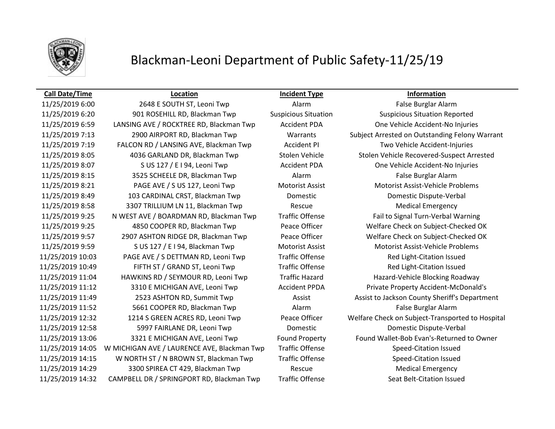

# Blackman-Leoni Department of Public Safety-11/25/19

## **Call Date/Time Location Incident Type Information**

11/25/2019 6:00 2648 E SOUTH ST, Leoni Twp Alarm False Burglar Alarm 11/25/2019 6:20 901 ROSEHILL RD, Blackman Twp Suspicious Situation Suspicious Situation Reported 11/25/2019 6:59 LANSING AVE / ROCKTREE RD, Blackman Twp Accident PDA One Vehicle Accident-No Injuries 11/25/2019 7:19 FALCON RD / LANSING AVE, Blackman Twp Accident PI Two Vehicle Accident-Injuries 11/25/2019 8:05 4036 GARLAND DR, Blackman Twp Stolen Vehicle Stolen Vehicle Recovered-Suspect Arrested 11/25/2019 8:07 S US 127 / E I 94, Leoni Twp Accident PDA One Vehicle Accident-No Injuries 11/25/2019 8:15 3525 SCHEELE DR, Blackman Twp Alarm False Burglar Alarm 11/25/2019 8:21 PAGE AVE / S US 127, Leoni Twp Motorist Assist Motorist Assist-Vehicle Problems 11/25/2019 8:49 103 CARDINAL CRST, Blackman Twp Domestic Domestic Dispute-Verbal 11/25/2019 8:58 3307 TRILLIUM LN 11, Blackman Twp Rescue Rescue Medical Emergency 11/25/2019 9:25 N WEST AVE / BOARDMAN RD, Blackman Twp Traffic Offense Fail to Signal Turn-Verbal Warning 11/25/2019 9:25 4850 COOPER RD, Blackman Twp Peace Officer Welfare Check on Subject-Checked OK 11/25/2019 9:57 2907 ASHTON RIDGE DR, Blackman Twp Peace Officer Welfare Check on Subject-Checked OK 11/25/2019 9:59 S US 127 / E I 94, Blackman Twp Motorist Assist Motorist Assist-Vehicle Problems 11/25/2019 10:03 PAGE AVE / S DETTMAN RD, Leoni Twp Traffic Offense Red Light-Citation Issued 11/25/2019 10:49 FIFTH ST / GRAND ST, Leoni Twp Traffic Offense Red Light-Citation Issued 11/25/2019 11:04 HAWKINS RD / SEYMOUR RD, Leoni Twp Traffic Hazard Hazard-Vehicle Blocking Roadway 11/25/2019 11:12 3310 E MICHIGAN AVE, Leoni Twp Accident PPDA Private Property Accident-McDonald's 11/25/2019 11:52 5661 COOPER RD, Blackman Twp Alarm Alarm False Burglar Alarm 11/25/2019 12:58 5997 FAIRLANE DR, Leoni Twp Domestic Domestic Dispute-Verbal 11/25/2019 14:05 W MICHIGAN AVE / LAURENCE AVE, Blackman Twp Traffic Offense Speed-Citation Issued 11/25/2019 14:15 W NORTH ST / N BROWN ST, Blackman Twp Traffic Offense Speed-Citation Issued 11/25/2019 14:29 3300 SPIREA CT 429, Blackman Twp Rescue Medical Emergency 11/25/2019 14:32 CAMPBELL DR / SPRINGPORT RD, Blackman Twp Traffic Offense Seat Belt-Citation Issued

11/25/2019 7:13 2900 AIRPORT RD, Blackman Twp Warrants Subject Arrested on Outstanding Felony Warrant 11/25/2019 11:49 2523 ASHTON RD, Summit Twp Assist Assist Assist to Jackson County Sheriff's Department 11/25/2019 12:32 1214 S GREEN ACRES RD, Leoni Twp Peace Officer Welfare Check on Subject-Transported to Hospital 11/25/2019 13:06 3321 E MICHIGAN AVE, Leoni Twp Found Property Found Wallet-Bob Evan's-Returned to Owner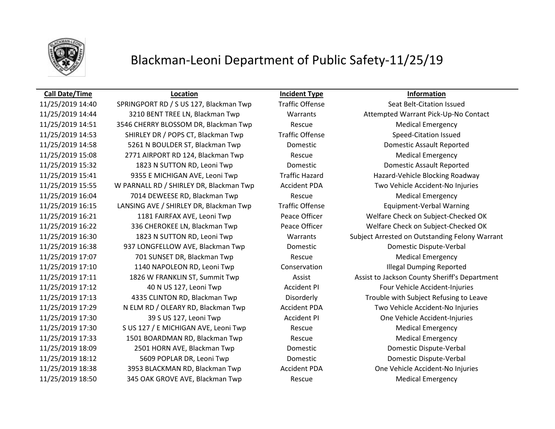

## Blackman-Leoni Department of Public Safety-11/25/19

### **Call Date/Time Location Incident Type Information**

11/25/2019 14:44 3210 BENT TREE LN, Blackman Twp Warrants Attempted Warrant Pick-Up-No Contact 11/25/2019 14:51 3546 CHERRY BLOSSOM DR, Blackman Twp Rescue Medical Emergency 11/25/2019 14:53 SHIRLEY DR / POPS CT, Blackman Twp Traffic Offense Speed-Citation Issued 11/25/2019 14:58 5261 N BOULDER ST, Blackman Twp Domestic Domestic Assault Reported 11/25/2019 15:08 2771 AIRPORT RD 124, Blackman Twp Rescue Medical Emergency 11/25/2019 15:32 1823 N SUTTON RD, Leoni Twp Domestic Domestic Assault Reported 11/25/2019 15:41 9355 E MICHIGAN AVE, Leoni Twp Traffic Hazard Hazard Hazard-Vehicle Blocking Roadway 11/25/2019 15:55 W PARNALL RD / SHIRLEY DR, Blackman Twp Accident PDA Two Vehicle Accident-No Injuries 11/25/2019 16:04 7014 DEWEESE RD, Blackman Twp Rescue Medical Emergency 11/25/2019 16:15 LANSING AVE / SHIRLEY DR, Blackman Twp Traffic Offense Equipment-Verbal Warning 11/25/2019 16:21 1181 FAIRFAX AVE, Leoni Twp Peace Officer Welfare Check on Subject-Checked OK 11/25/2019 16:22 336 CHEROKEE LN, Blackman Twp Peace Officer Welfare Check on Subject-Checked OK 11/25/2019 16:38 937 LONGFELLOW AVE, Blackman Twp Domestic Domestic Dispute-Verbal 11/25/2019 17:07 701 SUNSET DR, Blackman Twp Rescue Medical Emergency 11/25/2019 17:10 1140 NAPOLEON RD, Leoni Twp Conservation Illegal Dumping Reported 11/25/2019 17:12 40 N US 127, Leoni Twp Accident PI Four Vehicle Accident-Injuries 11/25/2019 17:13 4335 CLINTON RD, Blackman Twp Disorderly Trouble with Subject Refusing to Leave 11/25/2019 17:29 N ELM RD / OLEARY RD, Blackman Twp Accident PDA Two Vehicle Accident-No Injuries 11/25/2019 17:30 39 S US 127, Leoni Twp Accident PI One Vehicle Accident-Injuries 11/25/2019 17:30 S US 127 / E MICHIGAN AVE, Leoni Twp Rescue Rescue Medical Emergency 11/25/2019 17:33 1501 BOARDMAN RD, Blackman Twp Rescue Medical Emergency 11/25/2019 18:09 2501 HORN AVE, Blackman Twp Domestic Domestic Dispute-Verbal 11/25/2019 18:12 5609 POPLAR DR, Leoni Twp Domestic Domestic Dispute-Verbal 11/25/2019 18:38 3953 BLACKMAN RD, Blackman Twp Accident PDA One Vehicle Accident-No Injuries 11/25/2019 18:50 345 OAK GROVE AVE, Blackman Twp Rescue Medical Emergency

11/25/2019 14:40 SPRINGPORT RD / S US 127, Blackman Twp Traffic Offense Seat Belt-Citation Issued 11/25/2019 16:30 1823 N SUTTON RD, Leoni Twp Warrants Subject Arrested on Outstanding Felony Warrant 11/25/2019 17:11 1826 W FRANKLIN ST, Summit Twp Assist Assist to Jackson County Sheriff's Department